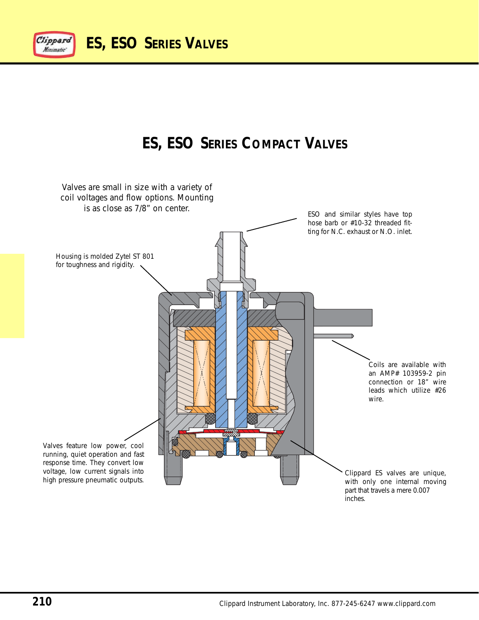

# **ES, ESO SERIES COMPACT VALVES**

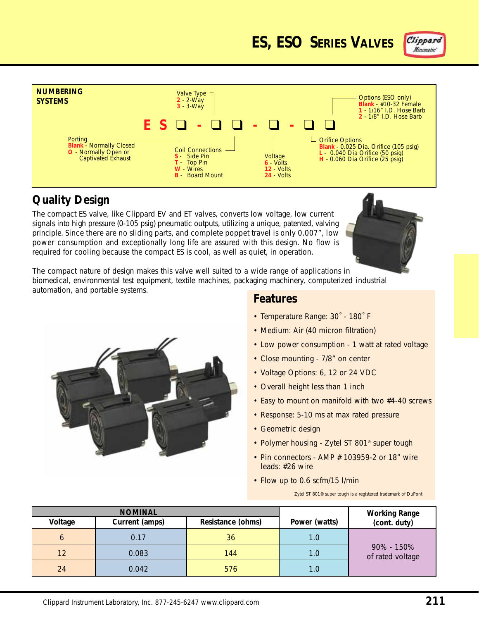





### **Quality Design**

The compact ES valve, like Clippard EV and ET valves, converts low voltage, low current signals into high pressure (0-105 psig) pneumatic outputs, utilizing a unique, patented, valving principle. Since there are no sliding parts, and complete poppet travel is only 0.007", low power consumption and exceptionally long life are assured with this design. No flow is required for cooling because the compact ES is cool, as well as quiet, in operation.



The compact nature of design makes this valve well suited to a wide range of applications in biomedical, environmental test equipment, textile machines, packaging machinery, computerized industrial automation, and portable systems.



### **Features**

- Temperature Range: 30˚ 180˚ F
- Medium: Air (40 micron filtration)
- Low power consumption 1 watt at rated voltage
- Close mounting 7/8" on center
- Voltage Options: 6, 12 or 24 VDC
- Overall height less than 1 inch
- Easy to mount on manifold with two #4-40 screws
- Response: 5-10 ms at max rated pressure
- Geometric design
- Polymer housing Zytel ST 801® super tough
- Pin connectors AMP # 103959-2 or 18" wire leads: #26 wire
- Flow up to 0.6 scfm/15 I/min

Zytel ST 801® super tough is a registered trademark of DuPont

|         | <b>NOMINAL</b> |                   | <b>Working Range</b> |                                |
|---------|----------------|-------------------|----------------------|--------------------------------|
| Voltage | Current (amps) | Resistance (ohms) | Power (watts)        | (cont. duty)                   |
|         | 0.17           | 36                | 1.0                  |                                |
| 12      | 0.083          | 144               | 1.0                  | 90% - 150%<br>of rated voltage |
| 24      | 0.042          | 576               | 1.0                  |                                |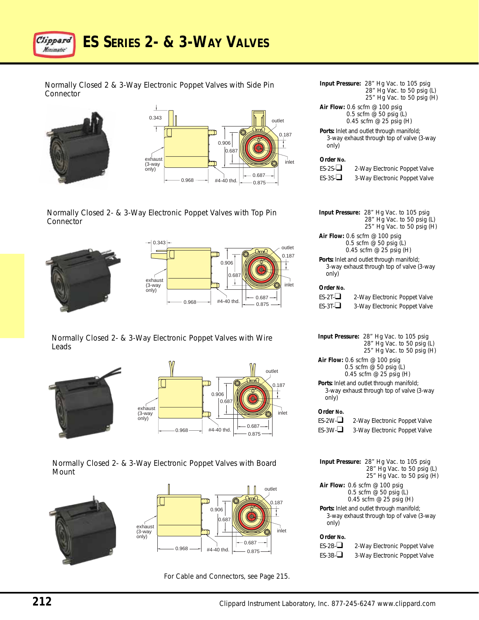

Normally Closed 2 & 3-Way Electronic Poppet Valves with Side Pin **Connector** 





Normally Closed 2- & 3-Way Electronic Poppet Valves with Top Pin **Connector** 





Normally Closed 2- & 3-Way Electronic Poppet Valves with Wire Leads



Normally Closed 2- & 3-Way Electronic Poppet Valves with Board Mount





For Cable and Connectors, see Page 215.

```
Input Pressure: 28" Hg Vac. to 105 psig
                 28" Hg Vac. to 50 psig (L)
                25" Hg Vac. to 50 psig (H)
Air Flow: 0.6 scfm @ 100 psig
```
0.5 scfm @ 50 psig (L) 0.45 scfm @ 25 psig (H)

Ports: Inlet and outlet through manifold; 3-way exhaust through top of valve (3-way only)

#### **Order No.**

| $ES-2S-\Box$  | 2-Way Electronic Poppet Valve |
|---------------|-------------------------------|
| ES-3S- $\Box$ | 3-Way Electronic Poppet Valve |

| Input Pressure: 28" Hg Vac. to 105 psig<br>28" Hg Vac. to 50 psig (L)<br>25" Hg Vac. to 50 psig (H)    |
|--------------------------------------------------------------------------------------------------------|
| Air Flow: 0.6 scfm $@$ 100 psig<br>0.5 scfm $@$ 50 psig (L)<br>0.45 scfm $\omega$ 25 psig (H)          |
| <b>Ports:</b> Inlet and outlet through manifold;<br>3-way exhaust through top of valve (3-way<br>only) |
| Order No.                                                                                              |

| ES-2T- $\Box$    | 2-Way Electronic Poppet Valve |
|------------------|-------------------------------|
| ES-3T- $\square$ | 3-Way Electronic Poppet Valve |

**Input Pressure:** 28" Hg Vac. to 105 psig 28" Hg Vac. to 50 psig (L) 25" Hg Vac. to 50 psig (H) **Air Flow:** 0.6 scfm @ 100 psig 0.5 scfm @ 50 psig (L) 0.45 scfm @ 25 psig (H) Ports: Inlet and outlet through manifold;

3-way exhaust through top of valve (3-way only)

#### **Order No.**

| $ES-2W-\Box$ | 2-Way Electronic Poppet Valve |
|--------------|-------------------------------|
| $ES-3W-\Box$ | 3-Way Electronic Poppet Valve |

**Input Pressure:** 28" Hg Vac. to 105 psig 28" Hg Vac. to 50 psig (L) 25" Hg Vac. to 50 psig (H) **Air Flow:** 0.6 scfm @ 100 psig 0.5 scfm  $\omega$  50 psig (L) 0.45 scfm @ 25 psig (H) Ports: Inlet and outlet through manifold; 3-way exhaust through top of valve (3-way only) **Order No.**

| Order No.    |                               |
|--------------|-------------------------------|
| $ES-2B-\Box$ | 2-Way Electronic Poppet Valve |

| -----        | $= 1.12$ , $= 1.00$ and $= 1.00$ and $= 1.00$ |
|--------------|-----------------------------------------------|
| $ES-3B-\Box$ | 3-Way Electronic Poppet Valve                 |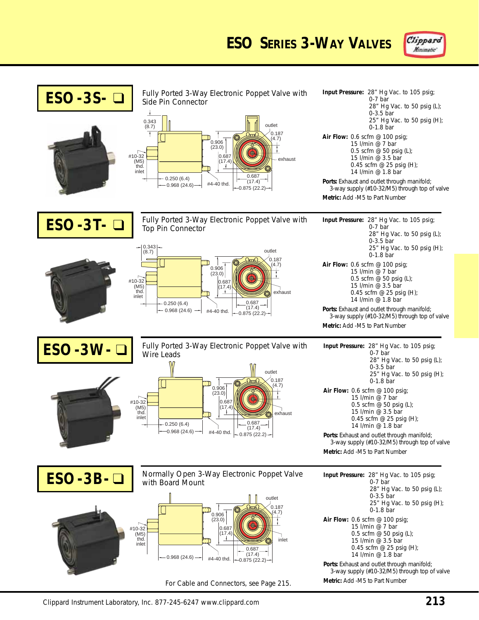



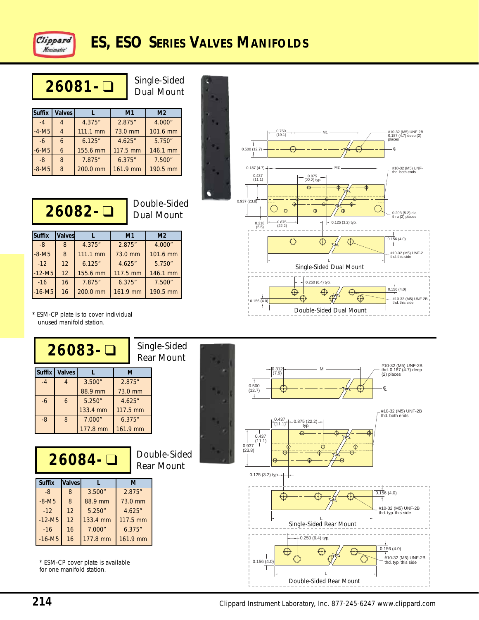

# **ES, ESO SERIES VALVES MANIFOLDS**

| 26081-□       |                |          |                | Single-Sided<br>Dual Mount |
|---------------|----------------|----------|----------------|----------------------------|
| <b>Suffix</b> | <b>Valves</b>  |          | M <sub>1</sub> | M <sub>2</sub>             |
| $-4$          | $\overline{4}$ | 4.375"   | 2.875"         | 4.000"                     |
| $-4 - M5$     | $\overline{4}$ | 111.1 mm | 73.0 mm        | 101.6 mm                   |
| $-6$          | 6              | 6.125"   | 4.625"         | 5.750"                     |
| $-6 - M5$     | 6              | 155.6 mm | 117.5 mm       | 146.1 mm                   |
| $-8$          | 8              | 7.875"   | 6.375''        | 7.500"                     |
| $-8 - M5$     | 8              | 200.0 mm | 161.9 mm       | 190.5 mm                   |

Double-Sided

**26082-** ❑

| <b>Suffix</b> | <b>Valves</b> |          | M <sub>1</sub> | M <sub>2</sub> |
|---------------|---------------|----------|----------------|----------------|
| -8            | 8             | 4.375"   | 2.875"         | 4.000"         |
| $-8 - M5$     | 8             | 111.1 mm | 73.0 mm        | 101.6 mm       |
| $-12$         | 12            | 6.125"   | 4.625"         | 5.750''        |

-12-M5 12 155.6 mm 117.5 mm 146.1 mm -16 16 7.875" 6.375" 7.500" -16-M5 16 200.0 mm 161.9 mm 190.5 mm

Dual Mount



\* ESM-CP plate is to cover individual unused manifold station.